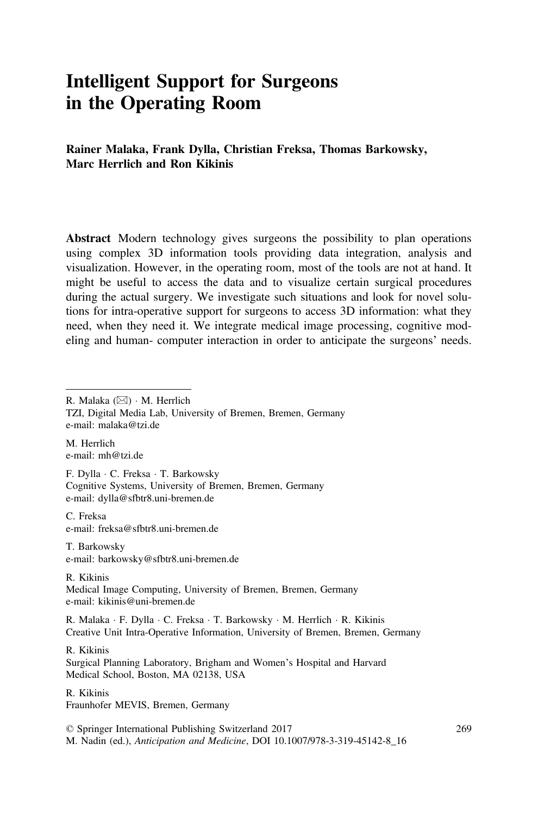# Intelligent Support for Surgeons in the Operating Room

Rainer Malaka, Frank Dylla, Christian Freksa, Thomas Barkowsky, Marc Herrlich and Ron Kikinis

Abstract Modern technology gives surgeons the possibility to plan operations using complex 3D information tools providing data integration, analysis and visualization. However, in the operating room, most of the tools are not at hand. It might be useful to access the data and to visualize certain surgical procedures during the actual surgery. We investigate such situations and look for novel solutions for intra-operative support for surgeons to access 3D information: what they need, when they need it. We integrate medical image processing, cognitive modeling and human- computer interaction in order to anticipate the surgeons' needs.

M. Herrlich e-mail: mh@tzi.de

F. Dylla · C. Freksa · T. Barkowsky Cognitive Systems, University of Bremen, Bremen, Germany e-mail: dylla@sfbtr8.uni-bremen.de

C. Freksa e-mail: freksa@sfbtr8.uni-bremen.de

T. Barkowsky e-mail: barkowsky@sfbtr8.uni-bremen.de

R. Kikinis Medical Image Computing, University of Bremen, Bremen, Germany e-mail: kikinis@uni-bremen.de

R. Malaka · F. Dylla · C. Freksa · T. Barkowsky · M. Herrlich · R. Kikinis Creative Unit Intra-Operative Information, University of Bremen, Bremen, Germany

R. Kikinis Surgical Planning Laboratory, Brigham and Women's Hospital and Harvard Medical School, Boston, MA 02138, USA

R. Kikinis Fraunhofer MEVIS, Bremen, Germany

© Springer International Publishing Switzerland 2017 M. Nadin (ed.), Anticipation and Medicine, DOI 10.1007/978-3-319-45142-8\_16

R. Malaka  $(\boxtimes) \cdot M$ . Herrlich

TZI, Digital Media Lab, University of Bremen, Bremen, Germany e-mail: malaka@tzi.de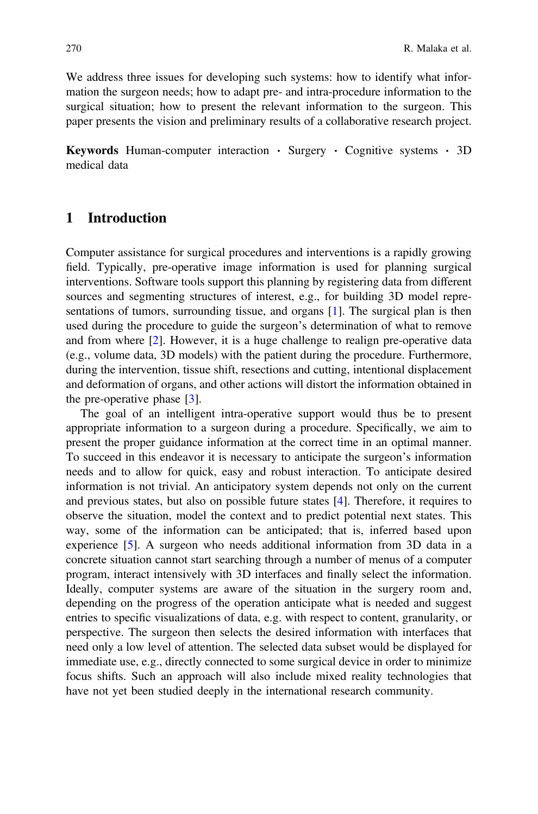We address three issues for developing such systems: how to identify what information the surgeon needs; how to adapt pre- and intra-procedure information to the surgical situation; how to present the relevant information to the surgeon. This paper presents the vision and preliminary results of a collaborative research project.

Keywords Human-computer interaction  $\cdot$  Surgery  $\cdot$  Cognitive systems  $\cdot$  3D medical data

### 1 Introduction

Computer assistance for surgical procedures and interventions is a rapidly growing field. Typically, pre-operative image information is used for planning surgical interventions. Software tools support this planning by registering data from different sources and segmenting structures of interest, e.g., for building 3D model representations of tumors, surrounding tissue, and organs [\[1](#page-7-0)]. The surgical plan is then used during the procedure to guide the surgeon's determination of what to remove and from where [[2\]](#page-7-0). However, it is a huge challenge to realign pre-operative data (e.g., volume data, 3D models) with the patient during the procedure. Furthermore, during the intervention, tissue shift, resections and cutting, intentional displacement and deformation of organs, and other actions will distort the information obtained in the pre-operative phase [\[3](#page-7-0)].

The goal of an intelligent intra-operative support would thus be to present appropriate information to a surgeon during a procedure. Specifically, we aim to present the proper guidance information at the correct time in an optimal manner. To succeed in this endeavor it is necessary to anticipate the surgeon's information needs and to allow for quick, easy and robust interaction. To anticipate desired information is not trivial. An anticipatory system depends not only on the current and previous states, but also on possible future states [[4\]](#page-7-0). Therefore, it requires to observe the situation, model the context and to predict potential next states. This way, some of the information can be anticipated; that is, inferred based upon experience [\[5](#page-7-0)]. A surgeon who needs additional information from 3D data in a concrete situation cannot start searching through a number of menus of a computer program, interact intensively with 3D interfaces and finally select the information. Ideally, computer systems are aware of the situation in the surgery room and, depending on the progress of the operation anticipate what is needed and suggest entries to specific visualizations of data, e.g. with respect to content, granularity, or perspective. The surgeon then selects the desired information with interfaces that need only a low level of attention. The selected data subset would be displayed for immediate use, e.g., directly connected to some surgical device in order to minimize focus shifts. Such an approach will also include mixed reality technologies that have not yet been studied deeply in the international research community.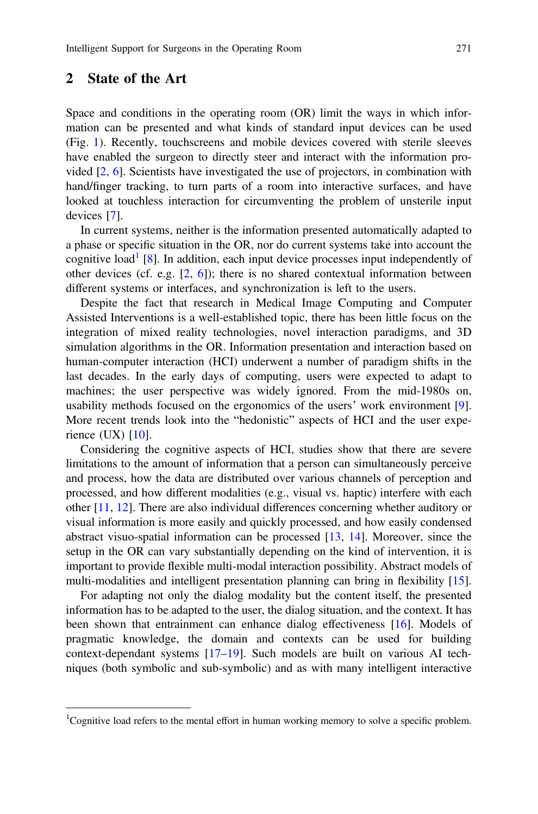#### 2 State of the Art

Space and conditions in the operating room (OR) limit the ways in which information can be presented and what kinds of standard input devices can be used (Fig. [1](#page-3-0)). Recently, touchscreens and mobile devices covered with sterile sleeves have enabled the surgeon to directly steer and interact with the information provided [[2,](#page-7-0) [6](#page-7-0)]. Scientists have investigated the use of projectors, in combination with hand/finger tracking, to turn parts of a room into interactive surfaces, and have looked at touchless interaction for circumventing the problem of unsterile input devices [\[7](#page-7-0)].

In current systems, neither is the information presented automatically adapted to a phase or specific situation in the OR, nor do current systems take into account the cognitive load<sup>1</sup> [\[8](#page-7-0)]. In addition, each input device processes input independently of other devices (cf. e.g.  $[2, 6]$  $[2, 6]$  $[2, 6]$ ); there is no shared contextual information between different systems or interfaces, and synchronization is left to the users.

Despite the fact that research in Medical Image Computing and Computer Assisted Interventions is a well-established topic, there has been little focus on the integration of mixed reality technologies, novel interaction paradigms, and 3D simulation algorithms in the OR. Information presentation and interaction based on human-computer interaction (HCI) underwent a number of paradigm shifts in the last decades. In the early days of computing, users were expected to adapt to machines; the user perspective was widely ignored. From the mid-1980s on, usability methods focused on the ergonomics of the users' work environment [[9\]](#page-7-0). More recent trends look into the "hedonistic" aspects of HCI and the user experience  $(UX)$  [[10\]](#page-7-0).

Considering the cognitive aspects of HCI, studies show that there are severe limitations to the amount of information that a person can simultaneously perceive and process, how the data are distributed over various channels of perception and processed, and how different modalities (e.g., visual vs. haptic) interfere with each other [[11,](#page-8-0) [12](#page-8-0)]. There are also individual differences concerning whether auditory or visual information is more easily and quickly processed, and how easily condensed abstract visuo-spatial information can be processed [[13,](#page-8-0) [14\]](#page-8-0). Moreover, since the setup in the OR can vary substantially depending on the kind of intervention, it is important to provide flexible multi-modal interaction possibility. Abstract models of multi-modalities and intelligent presentation planning can bring in flexibility [[15\]](#page-8-0).

For adapting not only the dialog modality but the content itself, the presented information has to be adapted to the user, the dialog situation, and the context. It has been shown that entrainment can enhance dialog effectiveness [[16\]](#page-8-0). Models of pragmatic knowledge, the domain and contexts can be used for building context-dependant systems [[17](#page-8-0)–[19\]](#page-8-0). Such models are built on various AI techniques (both symbolic and sub-symbolic) and as with many intelligent interactive

<sup>&</sup>lt;sup>1</sup>Cognitive load refers to the mental effort in human working memory to solve a specific problem.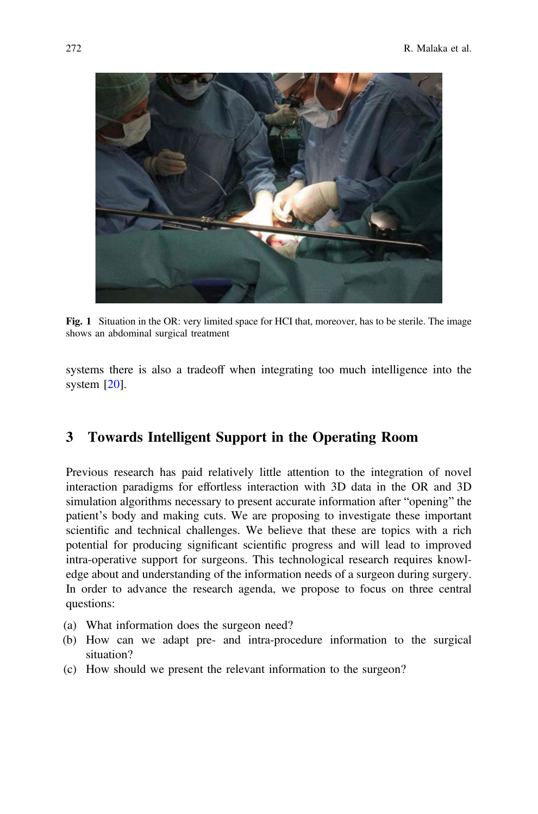<span id="page-3-0"></span>

Fig. 1 Situation in the OR: very limited space for HCI that, moreover, has to be sterile. The image shows an abdominal surgical treatment

systems there is also a tradeoff when integrating too much intelligence into the system [[20\]](#page-8-0).

### 3 Towards Intelligent Support in the Operating Room

Previous research has paid relatively little attention to the integration of novel interaction paradigms for effortless interaction with 3D data in the OR and 3D simulation algorithms necessary to present accurate information after "opening" the patient's body and making cuts. We are proposing to investigate these important scientific and technical challenges. We believe that these are topics with a rich potential for producing significant scientific progress and will lead to improved intra-operative support for surgeons. This technological research requires knowledge about and understanding of the information needs of a surgeon during surgery. In order to advance the research agenda, we propose to focus on three central questions:

- (a) What information does the surgeon need?
- (b) How can we adapt pre- and intra-procedure information to the surgical situation?
- (c) How should we present the relevant information to the surgeon?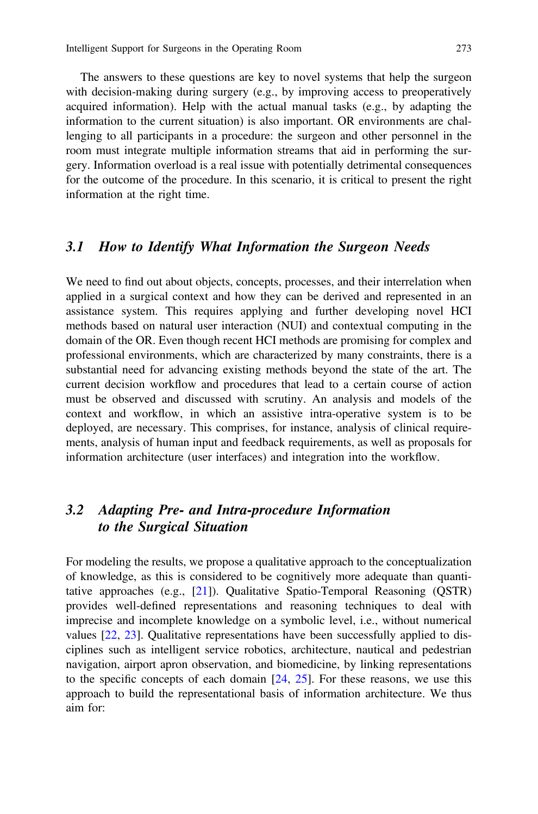The answers to these questions are key to novel systems that help the surgeon with decision-making during surgery (e.g., by improving access to preoperatively acquired information). Help with the actual manual tasks (e.g., by adapting the information to the current situation) is also important. OR environments are challenging to all participants in a procedure: the surgeon and other personnel in the room must integrate multiple information streams that aid in performing the surgery. Information overload is a real issue with potentially detrimental consequences for the outcome of the procedure. In this scenario, it is critical to present the right information at the right time.

### 3.1 How to Identify What Information the Surgeon Needs

We need to find out about objects, concepts, processes, and their interrelation when applied in a surgical context and how they can be derived and represented in an assistance system. This requires applying and further developing novel HCI methods based on natural user interaction (NUI) and contextual computing in the domain of the OR. Even though recent HCI methods are promising for complex and professional environments, which are characterized by many constraints, there is a substantial need for advancing existing methods beyond the state of the art. The current decision workflow and procedures that lead to a certain course of action must be observed and discussed with scrutiny. An analysis and models of the context and workflow, in which an assistive intra-operative system is to be deployed, are necessary. This comprises, for instance, analysis of clinical requirements, analysis of human input and feedback requirements, as well as proposals for information architecture (user interfaces) and integration into the workflow.

## 3.2 Adapting Pre- and Intra-procedure Information to the Surgical Situation

For modeling the results, we propose a qualitative approach to the conceptualization of knowledge, as this is considered to be cognitively more adequate than quantitative approaches (e.g., [\[21](#page-8-0)]). Qualitative Spatio-Temporal Reasoning (QSTR) provides well-defined representations and reasoning techniques to deal with imprecise and incomplete knowledge on a symbolic level, i.e., without numerical values [[22,](#page-8-0) [23\]](#page-8-0). Qualitative representations have been successfully applied to disciplines such as intelligent service robotics, architecture, nautical and pedestrian navigation, airport apron observation, and biomedicine, by linking representations to the specific concepts of each domain [[24,](#page-8-0) [25](#page-8-0)]. For these reasons, we use this approach to build the representational basis of information architecture. We thus aim for: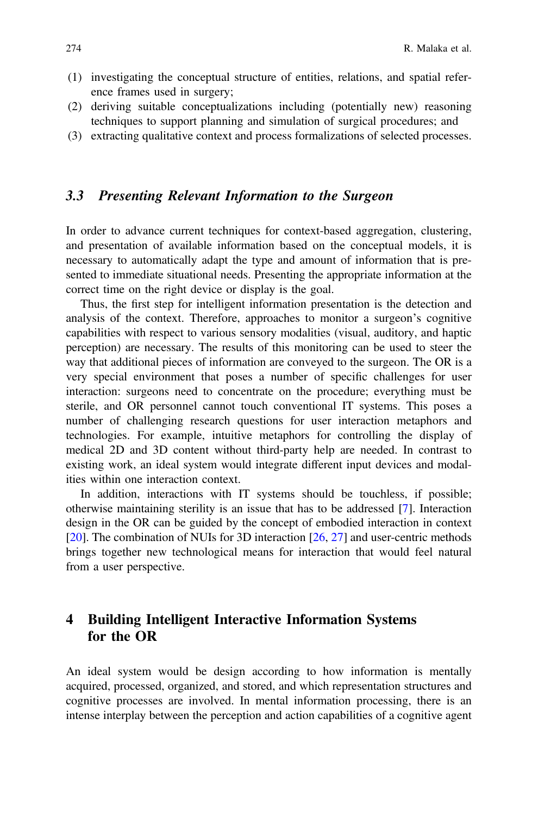- (1) investigating the conceptual structure of entities, relations, and spatial reference frames used in surgery;
- (2) deriving suitable conceptualizations including (potentially new) reasoning techniques to support planning and simulation of surgical procedures; and
- (3) extracting qualitative context and process formalizations of selected processes.

### 3.3 Presenting Relevant Information to the Surgeon

In order to advance current techniques for context-based aggregation, clustering, and presentation of available information based on the conceptual models, it is necessary to automatically adapt the type and amount of information that is presented to immediate situational needs. Presenting the appropriate information at the correct time on the right device or display is the goal.

Thus, the first step for intelligent information presentation is the detection and analysis of the context. Therefore, approaches to monitor a surgeon's cognitive capabilities with respect to various sensory modalities (visual, auditory, and haptic perception) are necessary. The results of this monitoring can be used to steer the way that additional pieces of information are conveyed to the surgeon. The OR is a very special environment that poses a number of specific challenges for user interaction: surgeons need to concentrate on the procedure; everything must be sterile, and OR personnel cannot touch conventional IT systems. This poses a number of challenging research questions for user interaction metaphors and technologies. For example, intuitive metaphors for controlling the display of medical 2D and 3D content without third-party help are needed. In contrast to existing work, an ideal system would integrate different input devices and modalities within one interaction context.

In addition, interactions with IT systems should be touchless, if possible; otherwise maintaining sterility is an issue that has to be addressed [[7\]](#page-7-0). Interaction design in the OR can be guided by the concept of embodied interaction in context [\[20](#page-8-0)]. The combination of NUIs for 3D interaction [[26,](#page-8-0) [27\]](#page-8-0) and user-centric methods brings together new technological means for interaction that would feel natural from a user perspective.

### 4 Building Intelligent Interactive Information Systems for the OR

An ideal system would be design according to how information is mentally acquired, processed, organized, and stored, and which representation structures and cognitive processes are involved. In mental information processing, there is an intense interplay between the perception and action capabilities of a cognitive agent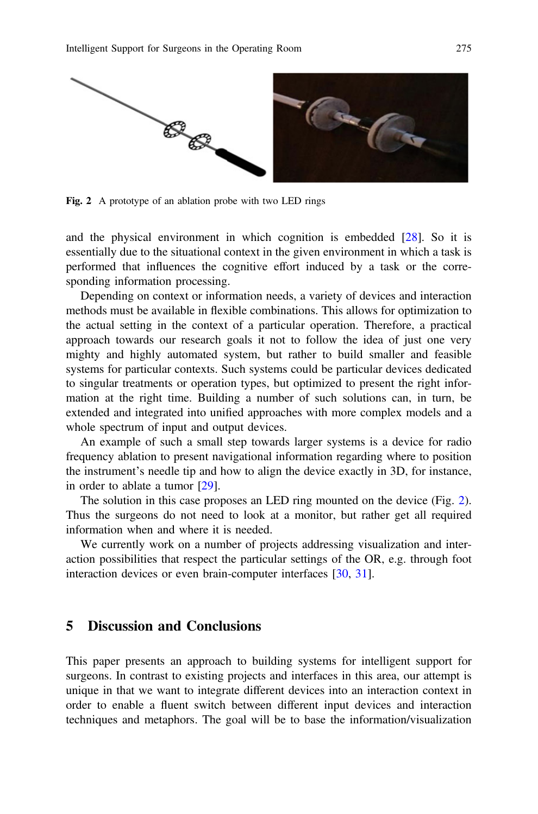

Fig. 2 A prototype of an ablation probe with two LED rings

and the physical environment in which cognition is embedded [\[28](#page-8-0)]. So it is essentially due to the situational context in the given environment in which a task is performed that influences the cognitive effort induced by a task or the corresponding information processing.

Depending on context or information needs, a variety of devices and interaction methods must be available in flexible combinations. This allows for optimization to the actual setting in the context of a particular operation. Therefore, a practical approach towards our research goals it not to follow the idea of just one very mighty and highly automated system, but rather to build smaller and feasible systems for particular contexts. Such systems could be particular devices dedicated to singular treatments or operation types, but optimized to present the right information at the right time. Building a number of such solutions can, in turn, be extended and integrated into unified approaches with more complex models and a whole spectrum of input and output devices.

An example of such a small step towards larger systems is a device for radio frequency ablation to present navigational information regarding where to position the instrument's needle tip and how to align the device exactly in 3D, for instance, in order to ablate a tumor [[29\]](#page-8-0).

The solution in this case proposes an LED ring mounted on the device (Fig. 2). Thus the surgeons do not need to look at a monitor, but rather get all required information when and where it is needed.

We currently work on a number of projects addressing visualization and interaction possibilities that respect the particular settings of the OR, e.g. through foot interaction devices or even brain-computer interfaces [[30,](#page-8-0) [31](#page-8-0)].

### 5 Discussion and Conclusions

This paper presents an approach to building systems for intelligent support for surgeons. In contrast to existing projects and interfaces in this area, our attempt is unique in that we want to integrate different devices into an interaction context in order to enable a fluent switch between different input devices and interaction techniques and metaphors. The goal will be to base the information/visualization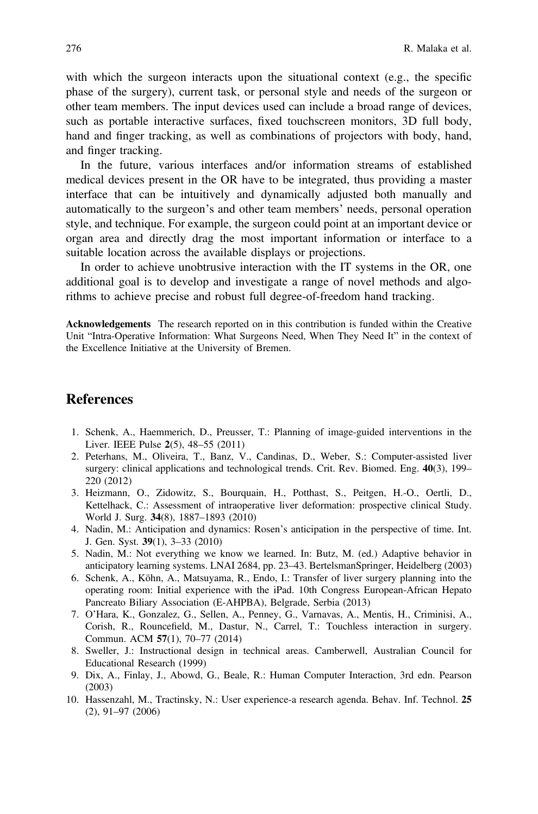<span id="page-7-0"></span>with which the surgeon interacts upon the situational context (e.g., the specific phase of the surgery), current task, or personal style and needs of the surgeon or other team members. The input devices used can include a broad range of devices, such as portable interactive surfaces, fixed touchscreen monitors, 3D full body, hand and finger tracking, as well as combinations of projectors with body, hand, and finger tracking.

In the future, various interfaces and/or information streams of established medical devices present in the OR have to be integrated, thus providing a master interface that can be intuitively and dynamically adjusted both manually and automatically to the surgeon's and other team members' needs, personal operation style, and technique. For example, the surgeon could point at an important device or organ area and directly drag the most important information or interface to a suitable location across the available displays or projections.

In order to achieve unobtrusive interaction with the IT systems in the OR, one additional goal is to develop and investigate a range of novel methods and algorithms to achieve precise and robust full degree-of-freedom hand tracking.

Acknowledgements The research reported on in this contribution is funded within the Creative Unit "Intra-Operative Information: What Surgeons Need, When They Need It" in the context of the Excellence Initiative at the University of Bremen.

#### References

- 1. Schenk, A., Haemmerich, D., Preusser, T.: Planning of image-guided interventions in the Liver. IEEE Pulse 2(5), 48–55 (2011)
- 2. Peterhans, M., Oliveira, T., Banz, V., Candinas, D., Weber, S.: Computer-assisted liver surgery: clinical applications and technological trends. Crit. Rev. Biomed. Eng. 40(3), 199– 220 (2012)
- 3. Heizmann, O., Zidowitz, S., Bourquain, H., Potthast, S., Peitgen, H.-O., Oertli, D., Kettelhack, C.: Assessment of intraoperative liver deformation: prospective clinical Study. World J. Surg. 34(8), 1887–1893 (2010)
- 4. Nadin, M.: Anticipation and dynamics: Rosen's anticipation in the perspective of time. Int. J. Gen. Syst. 39(1), 3–33 (2010)
- 5. Nadin, M.: Not everything we know we learned. In: Butz, M. (ed.) Adaptive behavior in anticipatory learning systems. LNAI 2684, pp. 23–43. BertelsmanSpringer, Heidelberg (2003)
- 6. Schenk, A., Köhn, A., Matsuyama, R., Endo, I.: Transfer of liver surgery planning into the operating room: Initial experience with the iPad. 10th Congress European-African Hepato Pancreato Biliary Association (E-AHPBA), Belgrade, Serbia (2013)
- 7. O'Hara, K., Gonzalez, G., Sellen, A., Penney, G., Varnavas, A., Mentis, H., Criminisi, A., Corish, R., Rouncefield, M., Dastur, N., Carrel, T.: Touchless interaction in surgery. Commun. ACM 57(1), 70–77 (2014)
- 8. Sweller, J.: Instructional design in technical areas. Camberwell, Australian Council for Educational Research (1999)
- 9. Dix, A., Finlay, J., Abowd, G., Beale, R.: Human Computer Interaction, 3rd edn. Pearson (2003)
- 10. Hassenzahl, M., Tractinsky, N.: User experience-a research agenda. Behav. Inf. Technol. 25 (2), 91–97 (2006)